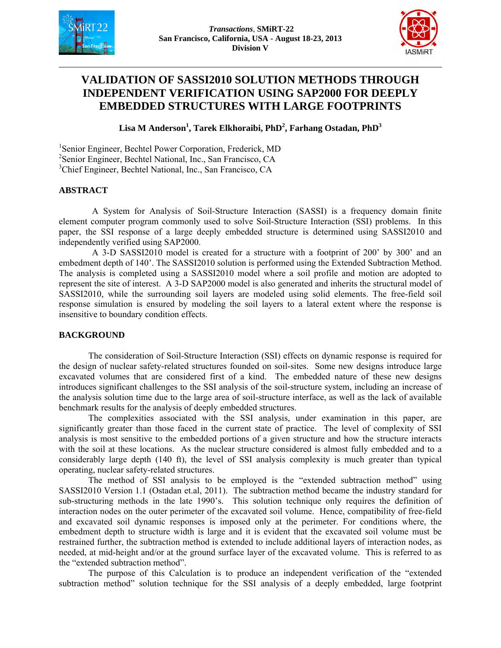



# **VALIDATION OF SASSI2010 SOLUTION METHODS THROUGH INDEPENDENT VERIFICATION USING SAP2000 FOR DEEPLY EMBEDDED STRUCTURES WITH LARGE FOOTPRINTS**

Lisa M Anderson<sup>1</sup>, Tarek Elkhoraibi, PhD<sup>2</sup>, Farhang Ostadan, PhD<sup>3</sup>

1 Senior Engineer, Bechtel Power Corporation, Frederick, MD 2 Senior Engineer, Bechtel National, Inc., San Francisco, CA 3 Chief Engineer, Bechtel National, Inc., San Francisco, CA

## **ABSTRACT**

A System for Analysis of Soil-Structure Interaction (SASSI) is a frequency domain finite element computer program commonly used to solve Soil-Structure Interaction (SSI) problems. In this paper, the SSI response of a large deeply embedded structure is determined using SASSI2010 and independently verified using SAP2000.

A 3-D SASSI2010 model is created for a structure with a footprint of 200' by 300' and an embedment depth of 140'. The SASSI2010 solution is performed using the Extended Subtraction Method. The analysis is completed using a SASSI2010 model where a soil profile and motion are adopted to represent the site of interest. A 3-D SAP2000 model is also generated and inherits the structural model of SASSI2010, while the surrounding soil layers are modeled using solid elements. The free-field soil response simulation is ensured by modeling the soil layers to a lateral extent where the response is insensitive to boundary condition effects.

## **BACKGROUND**

The consideration of Soil-Structure Interaction (SSI) effects on dynamic response is required for the design of nuclear safety-related structures founded on soil-sites. Some new designs introduce large excavated volumes that are considered first of a kind. The embedded nature of these new designs introduces significant challenges to the SSI analysis of the soil-structure system, including an increase of the analysis solution time due to the large area of soil-structure interface, as well as the lack of available benchmark results for the analysis of deeply embedded structures.

The complexities associated with the SSI analysis, under examination in this paper, are significantly greater than those faced in the current state of practice. The level of complexity of SSI analysis is most sensitive to the embedded portions of a given structure and how the structure interacts with the soil at these locations. As the nuclear structure considered is almost fully embedded and to a considerably large depth (140 ft), the level of SSI analysis complexity is much greater than typical operating, nuclear safety-related structures.

The method of SSI analysis to be employed is the "extended subtraction method" using SASSI2010 Version 1.1 (Ostadan et.al, 2011). The subtraction method became the industry standard for sub-structuring methods in the late 1990's. This solution technique only requires the definition of interaction nodes on the outer perimeter of the excavated soil volume. Hence, compatibility of free-field and excavated soil dynamic responses is imposed only at the perimeter. For conditions where, the embedment depth to structure width is large and it is evident that the excavated soil volume must be restrained further, the subtraction method is extended to include additional layers of interaction nodes, as needed, at mid-height and/or at the ground surface layer of the excavated volume. This is referred to as the "extended subtraction method".

The purpose of this Calculation is to produce an independent verification of the "extended subtraction method" solution technique for the SSI analysis of a deeply embedded, large footprint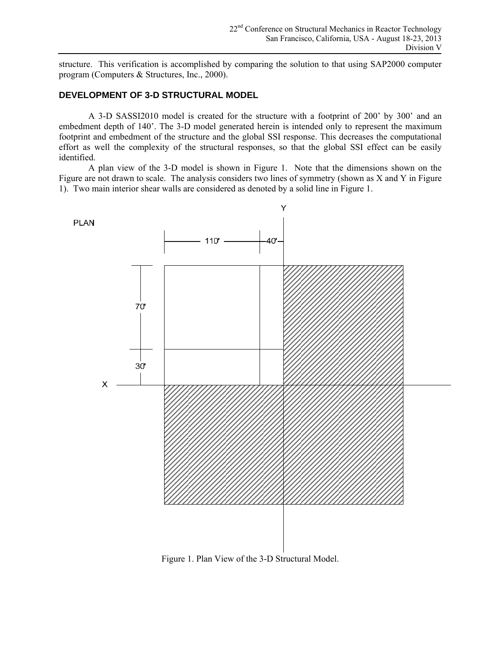structure. This verification is accomplished by comparing the solution to that using SAP2000 computer program (Computers & Structures, Inc., 2000).

### **DEVELOPMENT OF 3-D STRUCTURAL MODEL**

A 3-D SASSI2010 model is created for the structure with a footprint of 200' by 300' and an embedment depth of 140'. The 3-D model generated herein is intended only to represent the maximum footprint and embedment of the structure and the global SSI response. This decreases the computational effort as well the complexity of the structural responses, so that the global SSI effect can be easily identified.

A plan view of the 3-D model is shown in Figure 1. Note that the dimensions shown on the Figure are not drawn to scale. The analysis considers two lines of symmetry (shown as X and Y in Figure 1). Two main interior shear walls are considered as denoted by a solid line in Figure 1.



Figure 1. Plan View of the 3-D Structural Model.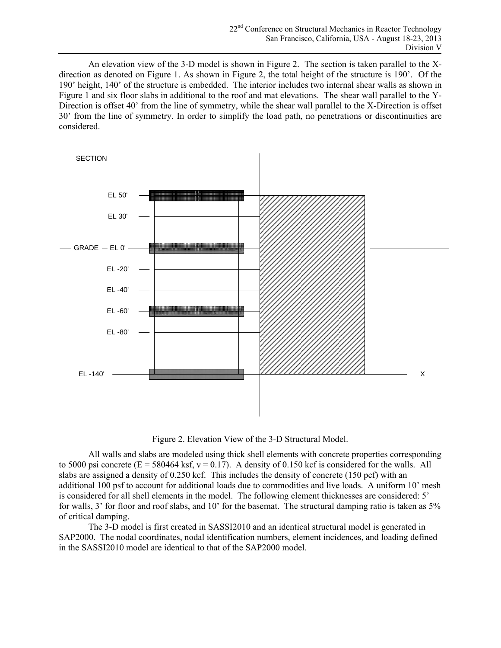An elevation view of the 3-D model is shown in Figure 2. The section is taken parallel to the Xdirection as denoted on Figure 1. As shown in Figure 2, the total height of the structure is 190'. Of the 190' height, 140' of the structure is embedded. The interior includes two internal shear walls as shown in Figure 1 and six floor slabs in additional to the roof and mat elevations. The shear wall parallel to the Y-Direction is offset 40' from the line of symmetry, while the shear wall parallel to the X-Direction is offset 30' from the line of symmetry. In order to simplify the load path, no penetrations or discontinuities are considered.



Figure 2. Elevation View of the 3-D Structural Model.

All walls and slabs are modeled using thick shell elements with concrete properties corresponding to 5000 psi concrete ( $E = 580464$  ksf,  $v = 0.17$ ). A density of 0.150 kcf is considered for the walls. All slabs are assigned a density of 0.250 kcf. This includes the density of concrete (150 pcf) with an additional 100 psf to account for additional loads due to commodities and live loads. A uniform 10' mesh is considered for all shell elements in the model. The following element thicknesses are considered: 5' for walls, 3' for floor and roof slabs, and 10' for the basemat. The structural damping ratio is taken as 5% of critical damping.

The 3-D model is first created in SASSI2010 and an identical structural model is generated in SAP2000. The nodal coordinates, nodal identification numbers, element incidences, and loading defined in the SASSI2010 model are identical to that of the SAP2000 model.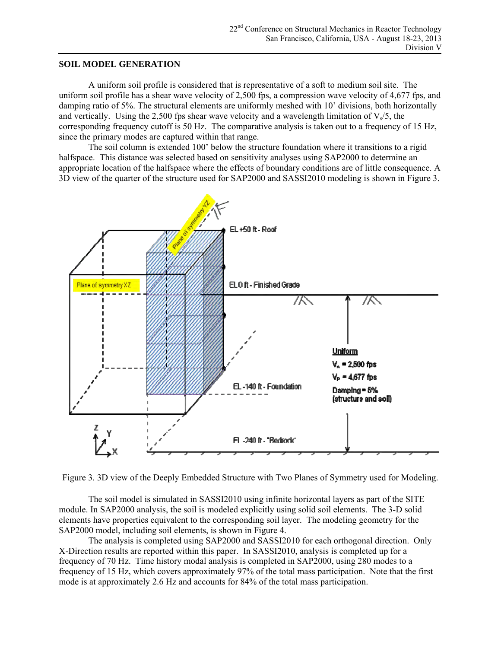#### **SOIL MODEL GENERATION**

A uniform soil profile is considered that is representative of a soft to medium soil site. The uniform soil profile has a shear wave velocity of 2,500 fps, a compression wave velocity of 4,677 fps, and damping ratio of 5%. The structural elements are uniformly meshed with 10' divisions, both horizontally and vertically. Using the 2,500 fps shear wave velocity and a wavelength limitation of  $V\sqrt{5}$ , the corresponding frequency cutoff is 50 Hz. The comparative analysis is taken out to a frequency of 15 Hz, since the primary modes are captured within that range.

The soil column is extended 100' below the structure foundation where it transitions to a rigid halfspace. This distance was selected based on sensitivity analyses using SAP2000 to determine an appropriate location of the halfspace where the effects of boundary conditions are of little consequence. A 3D view of the quarter of the structure used for SAP2000 and SASSI2010 modeling is shown in Figure 3.



Figure 3. 3D view of the Deeply Embedded Structure with Two Planes of Symmetry used for Modeling.

The soil model is simulated in SASSI2010 using infinite horizontal layers as part of the SITE module. In SAP2000 analysis, the soil is modeled explicitly using solid soil elements. The 3-D solid elements have properties equivalent to the corresponding soil layer. The modeling geometry for the SAP2000 model, including soil elements, is shown in Figure 4.

The analysis is completed using SAP2000 and SASSI2010 for each orthogonal direction. Only X-Direction results are reported within this paper. In SASSI2010, analysis is completed up for a frequency of 70 Hz. Time history modal analysis is completed in SAP2000, using 280 modes to a frequency of 15 Hz, which covers approximately 97% of the total mass participation. Note that the first mode is at approximately 2.6 Hz and accounts for 84% of the total mass participation.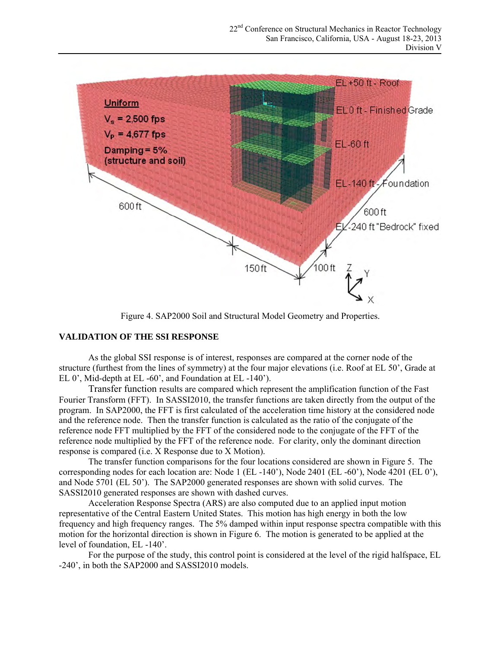

Figure 4. SAP2000 Soil and Structural Model Geometry and Properties.

## **VALIDATION OF THE SSI RESPONSE**

As the global SSI response is of interest, responses are compared at the corner node of the structure (furthest from the lines of symmetry) at the four major elevations (i.e. Roof at EL 50', Grade at EL 0', Mid-depth at EL -60', and Foundation at EL -140').

Transfer function results are compared which represent the amplification function of the Fast Fourier Transform (FFT). In SASSI2010, the transfer functions are taken directly from the output of the program. In SAP2000, the FFT is first calculated of the acceleration time history at the considered node and the reference node. Then the transfer function is calculated as the ratio of the conjugate of the reference node FFT multiplied by the FFT of the considered node to the conjugate of the FFT of the reference node multiplied by the FFT of the reference node. For clarity, only the dominant direction response is compared (i.e. X Response due to X Motion).

The transfer function comparisons for the four locations considered are shown in Figure 5. The corresponding nodes for each location are: Node 1 (EL -140'), Node 2401 (EL -60'), Node 4201 (EL 0'), and Node 5701 (EL 50'). The SAP2000 generated responses are shown with solid curves. The SASSI2010 generated responses are shown with dashed curves.

Acceleration Response Spectra (ARS) are also computed due to an applied input motion representative of the Central Eastern United States. This motion has high energy in both the low frequency and high frequency ranges. The 5% damped within input response spectra compatible with this motion for the horizontal direction is shown in Figure 6. The motion is generated to be applied at the level of foundation, EL -140'.

For the purpose of the study, this control point is considered at the level of the rigid halfspace, EL -240', in both the SAP2000 and SASSI2010 models.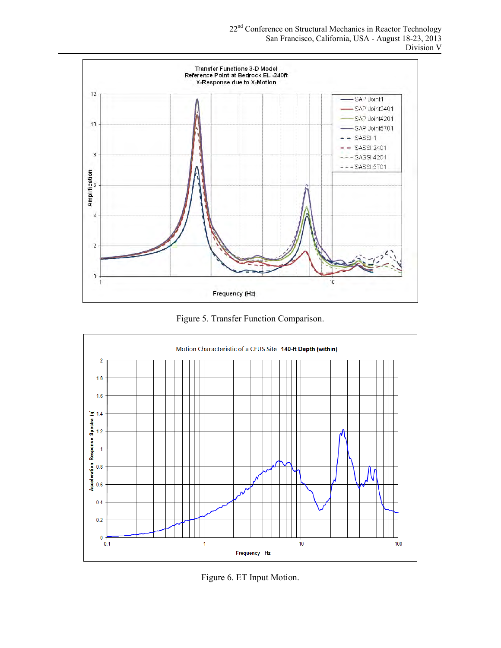22nd Conference on Structural Mechanics in Reactor Technology San Francisco, California, USA - August 18-23, 2013 Division V

![](_page_5_Figure_1.jpeg)

Figure 5. Transfer Function Comparison.

![](_page_5_Figure_3.jpeg)

Figure 6. ET Input Motion.